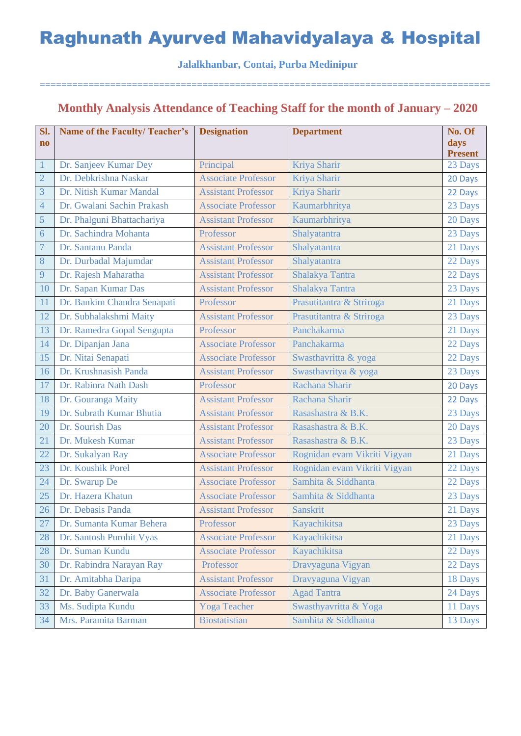**Jalalkhanbar, Contai, Purba Medinipur**

===================================================================================

### **Monthly Analysis Attendance of Teaching Staff for the month of January – 2020**

| Sl.                            | <b>Name of the Faculty/ Teacher's</b>          | <b>Designation</b>                      | <b>Department</b>            | No. Of         |
|--------------------------------|------------------------------------------------|-----------------------------------------|------------------------------|----------------|
| $\mathbf{n}\mathbf{o}$         |                                                |                                         |                              | days           |
|                                |                                                |                                         |                              | <b>Present</b> |
| $\mathbf{1}$<br>$\overline{2}$ | Dr. Sanjeev Kumar Dey<br>Dr. Debkrishna Naskar | Principal<br><b>Associate Professor</b> | Kriya Sharir<br>Kriya Sharir | 23 Days        |
| $\overline{3}$                 |                                                |                                         |                              | 20 Days        |
|                                | Dr. Nitish Kumar Mandal                        | <b>Assistant Professor</b>              | Kriya Sharir                 | 22 Days        |
| $\overline{4}$                 | Dr. Gwalani Sachin Prakash                     | <b>Associate Professor</b>              | Kaumarbhritya                | 23 Days        |
| 5                              | Dr. Phalguni Bhattachariya                     | <b>Assistant Professor</b>              | Kaumarbhritya                | 20 Days        |
| 6                              | Dr. Sachindra Mohanta                          | Professor                               | Shalyatantra                 | 23 Days        |
| $\overline{7}$                 | Dr. Santanu Panda                              | <b>Assistant Professor</b>              | Shalyatantra                 | 21 Days        |
| $8\,$                          | Dr. Durbadal Majumdar                          | <b>Assistant Professor</b>              | Shalyatantra                 | 22 Days        |
| 9                              | Dr. Rajesh Maharatha                           | <b>Assistant Professor</b>              | Shalakya Tantra              | 22 Days        |
| 10                             | Dr. Sapan Kumar Das                            | <b>Assistant Professor</b>              | Shalakya Tantra              | 23 Days        |
| 11                             | Dr. Bankim Chandra Senapati                    | Professor                               | Prasutitantra & Striroga     | 21 Days        |
| 12                             | Dr. Subhalakshmi Maity                         | <b>Assistant Professor</b>              | Prasutitantra & Striroga     | 23 Days        |
| 13                             | Dr. Ramedra Gopal Sengupta                     | Professor                               | Panchakarma                  | 21 Days        |
| 14                             | Dr. Dipanjan Jana                              | <b>Associate Professor</b>              | Panchakarma                  | 22 Days        |
| 15                             | Dr. Nitai Senapati                             | <b>Associate Professor</b>              | Swasthavritta & yoga         | 22 Days        |
| 16                             | Dr. Krushnasish Panda                          | <b>Assistant Professor</b>              | Swasthavritya & yoga         | 23 Days        |
| 17                             | Dr. Rabinra Nath Dash                          | Professor                               | Rachana Sharir               | 20 Days        |
| 18                             | Dr. Gouranga Maity                             | <b>Assistant Professor</b>              | Rachana Sharir               | 22 Days        |
| 19                             | Dr. Subrath Kumar Bhutia                       | <b>Assistant Professor</b>              | Rasashastra & B.K.           | 23 Days        |
| 20                             | Dr. Sourish Das                                | <b>Assistant Professor</b>              | Rasashastra & B.K.           | 20 Days        |
| 21                             | Dr. Mukesh Kumar                               | <b>Assistant Professor</b>              | Rasashastra & B.K.           | 23 Days        |
| 22                             | Dr. Sukalyan Ray                               | <b>Associate Professor</b>              | Rognidan evam Vikriti Vigyan | 21 Days        |
| 23                             | Dr. Koushik Porel                              | <b>Assistant Professor</b>              | Rognidan evam Vikriti Vigyan | 22 Days        |
| 24                             | Dr. Swarup De                                  | <b>Associate Professor</b>              | Samhita & Siddhanta          | 22 Days        |
| 25                             | Dr. Hazera Khatun                              | <b>Associate Professor</b>              | Samhita & Siddhanta          | 23 Days        |
| 26                             | Dr. Debasis Panda                              | <b>Assistant Professor</b>              | Sanskrit                     | 21 Days        |
| 27                             | Dr. Sumanta Kumar Behera                       | Professor                               | Kayachikitsa                 | 23 Days        |
| 28                             | Dr. Santosh Purohit Vyas                       | <b>Associate Professor</b>              | Kayachikitsa                 | 21 Days        |
| 28                             | Dr. Suman Kundu                                | <b>Associate Professor</b>              | Kayachikitsa                 | 22 Days        |
| 30                             | Dr. Rabindra Narayan Ray                       | Professor                               | Dravyaguna Vigyan            | 22 Days        |
| 31                             | Dr. Amitabha Daripa                            | <b>Assistant Professor</b>              | Dravyaguna Vigyan            | 18 Days        |
| 32                             | Dr. Baby Ganerwala                             | <b>Associate Professor</b>              | <b>Agad Tantra</b>           | 24 Days        |
| 33                             | Ms. Sudipta Kundu                              | <b>Yoga Teacher</b>                     | Swasthyavritta & Yoga        | 11 Days        |
| 34                             | Mrs. Paramita Barman                           | <b>Biostatistian</b>                    | Samhita & Siddhanta          | 13 Days        |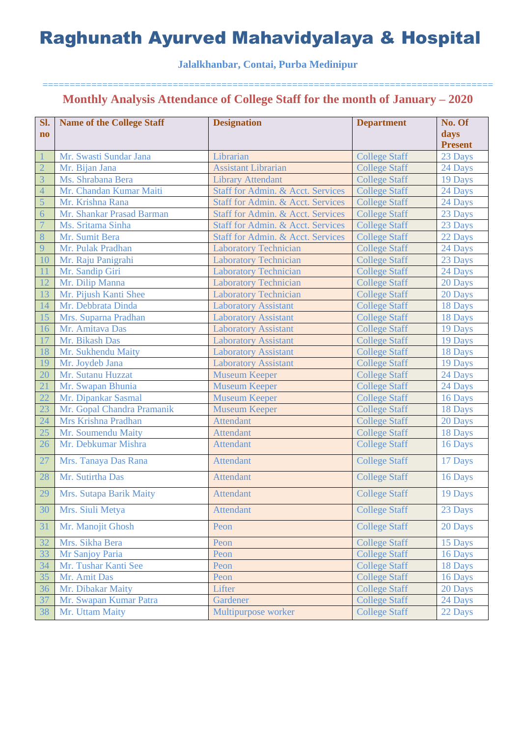### **Jalalkhanbar, Contai, Purba Medinipur**

| Sl.            | <b>Name of the College Staff</b> | <b>Designation</b>                           | <b>Department</b>    | No. Of         |
|----------------|----------------------------------|----------------------------------------------|----------------------|----------------|
| $\mathbf{n}$   |                                  |                                              |                      | days           |
|                |                                  |                                              |                      | <b>Present</b> |
|                | Mr. Swasti Sundar Jana           | Librarian                                    | <b>College Staff</b> | 23 Days        |
| $\overline{2}$ | Mr. Bijan Jana                   | <b>Assistant Librarian</b>                   | <b>College Staff</b> | 24 Days        |
| $\overline{3}$ | Ms. Shrabana Bera                | <b>Library Attendant</b>                     | <b>College Staff</b> | 19 Days        |
| $\overline{4}$ | Mr. Chandan Kumar Maiti          | Staff for Admin. & Acct. Services            | <b>College Staff</b> | 24 Days        |
| 5              | Mr. Krishna Rana                 | Staff for Admin. & Acct. Services            | <b>College Staff</b> | 24 Days        |
| $\overline{6}$ | Mr. Shankar Prasad Barman        | Staff for Admin. & Acct. Services            | <b>College Staff</b> | 23 Days        |
| $\overline{7}$ | Ms. Sritama Sinha                | <b>Staff for Admin. &amp; Acct. Services</b> | <b>College Staff</b> | 23 Days        |
| 8              | Mr. Sumit Bera                   | Staff for Admin. & Acct. Services            | <b>College Staff</b> | 22 Days        |
| 9              | Mr. Pulak Pradhan                | <b>Laboratory Technician</b>                 | <b>College Staff</b> | 24 Days        |
| 10             | Mr. Raju Panigrahi               | <b>Laboratory Technician</b>                 | <b>College Staff</b> | 23 Days        |
| 11             | Mr. Sandip Giri                  | <b>Laboratory Technician</b>                 | <b>College Staff</b> | 24 Days        |
| 12             | Mr. Dilip Manna                  | <b>Laboratory Technician</b>                 | <b>College Staff</b> | 20 Days        |
| 13             | Mr. Pijush Kanti Shee            | <b>Laboratory Technician</b>                 | <b>College Staff</b> | 20 Days        |
| 14             | Mr. Debbrata Dinda               | <b>Laboratory Assistant</b>                  | <b>College Staff</b> | 18 Days        |
| 15             | Mrs. Suparna Pradhan             | <b>Laboratory Assistant</b>                  | <b>College Staff</b> | 18 Days        |
| 16             | Mr. Amitava Das                  | <b>Laboratory Assistant</b>                  | <b>College Staff</b> | 19 Days        |
| 17             | Mr. Bikash Das                   | <b>Laboratory Assistant</b>                  | <b>College Staff</b> | 19 Days        |
| 18             | Mr. Sukhendu Maity               | <b>Laboratory Assistant</b>                  | <b>College Staff</b> | 18 Days        |
| 19             | Mr. Joydeb Jana                  | <b>Laboratory Assistant</b>                  | <b>College Staff</b> | 19 Days        |
| 20             | Mr. Sutanu Huzzat                | <b>Museum Keeper</b>                         | <b>College Staff</b> | 24 Days        |
| 21             | Mr. Swapan Bhunia                | <b>Museum Keeper</b>                         | <b>College Staff</b> | 24 Days        |
| 22             | Mr. Dipankar Sasmal              | <b>Museum Keeper</b>                         | <b>College Staff</b> | 16 Days        |
| 23             | Mr. Gopal Chandra Pramanik       | <b>Museum Keeper</b>                         | <b>College Staff</b> | 18 Days        |
| 24             | Mrs Krishna Pradhan              | <b>Attendant</b>                             | <b>College Staff</b> | 20 Days        |
| 25             | Mr. Soumendu Maity               | <b>Attendant</b>                             | <b>College Staff</b> | 18 Days        |
| 26             | Mr. Debkumar Mishra              | <b>Attendant</b>                             | <b>College Staff</b> | 16 Days        |
| 27             | Mrs. Tanaya Das Rana             | <b>Attendant</b>                             | <b>College Staff</b> | 17 Days        |
| 28             | Mr. Sutirtha Das                 | <b>Attendant</b>                             | <b>College Staff</b> | 16 Days        |
| 29             | Mrs. Sutapa Barik Maity          | <b>Attendant</b>                             | <b>College Staff</b> | 19 Days        |
| 30             | Mrs. Siuli Metya                 | <b>Attendant</b>                             | <b>College Staff</b> | 23 Days        |
| 31             | Mr. Manojit Ghosh                | Peon                                         | <b>College Staff</b> | 20 Days        |
| 32             | Mrs. Sikha Bera                  | Peon                                         | <b>College Staff</b> | 15 Days        |
| 33             | Mr Sanjoy Paria                  | Peon                                         | <b>College Staff</b> | 16 Days        |
| 34             | Mr. Tushar Kanti See             | Peon                                         | <b>College Staff</b> | 18 Days        |
| 35             | Mr. Amit Das                     | Peon                                         | <b>College Staff</b> | 16 Days        |
| 36             | Mr. Dibakar Maity                | Lifter                                       | <b>College Staff</b> | 20 Days        |
| 37             | Mr. Swapan Kumar Patra           | Gardener                                     | <b>College Staff</b> | 24 Days        |
| 38             | Mr. Uttam Maity                  | Multipurpose worker                          | <b>College Staff</b> | 22 Days        |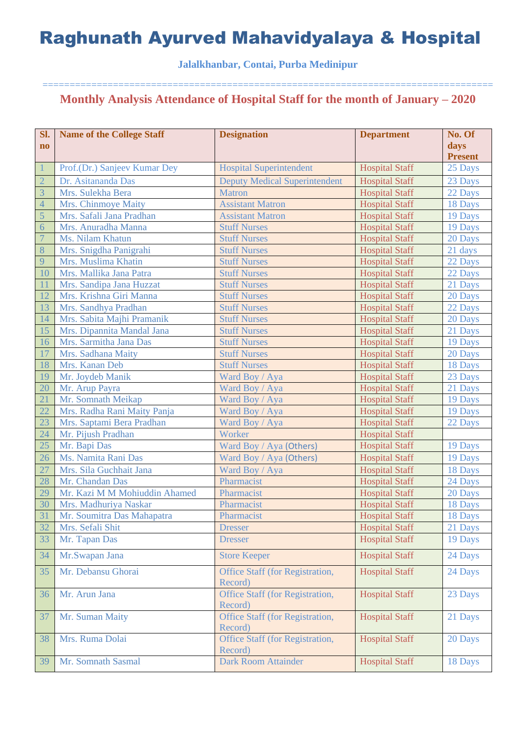### **Jalalkhanbar, Contai, Purba Medinipur**

| Sl.                    | <b>Name of the College Staff</b> | <b>Designation</b>                         | <b>Department</b>     | No. Of         |
|------------------------|----------------------------------|--------------------------------------------|-----------------------|----------------|
| $\mathbf{n}\mathbf{o}$ |                                  |                                            |                       | days           |
|                        |                                  |                                            |                       | <b>Present</b> |
| $\mathbf{1}$           | Prof.(Dr.) Sanjeev Kumar Dey     | <b>Hospital Superintendent</b>             | <b>Hospital Staff</b> | 25 Days        |
| $\overline{2}$         | Dr. Asitananda Das               | <b>Deputy Medical Superintendent</b>       | <b>Hospital Staff</b> | 23 Days        |
| $\overline{3}$         | Mrs. Sulekha Bera                | <b>Matron</b>                              | <b>Hospital Staff</b> | 22 Days        |
| $\overline{4}$         | Mrs. Chinmoye Maity              | <b>Assistant Matron</b>                    | <b>Hospital Staff</b> | 18 Days        |
| 5                      | Mrs. Safali Jana Pradhan         | <b>Assistant Matron</b>                    | <b>Hospital Staff</b> | 19 Days        |
| 6                      | Mrs. Anuradha Manna              | <b>Stuff Nurses</b>                        | <b>Hospital Staff</b> | 19 Days        |
| $\overline{7}$         | Ms. Nilam Khatun                 | <b>Stuff Nurses</b>                        | <b>Hospital Staff</b> | 20 Days        |
| 8                      | Mrs. Snigdha Panigrahi           | <b>Stuff Nurses</b>                        | <b>Hospital Staff</b> | 21 days        |
| 9                      | Mrs. Muslima Khatin              | <b>Stuff Nurses</b>                        | <b>Hospital Staff</b> | 22 Days        |
| 10                     | Mrs. Mallika Jana Patra          | <b>Stuff Nurses</b>                        | <b>Hospital Staff</b> | 22 Days        |
| 11                     | Mrs. Sandipa Jana Huzzat         | <b>Stuff Nurses</b>                        | <b>Hospital Staff</b> | 21 Days        |
| 12                     | Mrs. Krishna Giri Manna          | <b>Stuff Nurses</b>                        | <b>Hospital Staff</b> | 20 Days        |
| 13                     | Mrs. Sandhya Pradhan             | <b>Stuff Nurses</b>                        | <b>Hospital Staff</b> | 22 Days        |
| 14                     | Mrs. Sabita Majhi Pramanik       | <b>Stuff Nurses</b>                        | <b>Hospital Staff</b> | 20 Days        |
| 15                     | Mrs. Dipannita Mandal Jana       | <b>Stuff Nurses</b>                        | <b>Hospital Staff</b> | 21 Days        |
| 16                     | Mrs. Sarmitha Jana Das           | <b>Stuff Nurses</b>                        | <b>Hospital Staff</b> | 19 Days        |
| 17                     | Mrs. Sadhana Maity               | <b>Stuff Nurses</b>                        | <b>Hospital Staff</b> | 20 Days        |
| 18                     | Mrs. Kanan Deb                   | <b>Stuff Nurses</b>                        | <b>Hospital Staff</b> | 18 Days        |
| 19                     | Mr. Joydeb Manik                 | Ward Boy / Aya                             | <b>Hospital Staff</b> | 23 Days        |
| 20                     | Mr. Arup Payra                   | Ward Boy / Aya                             | <b>Hospital Staff</b> | 21 Days        |
| 21                     | Mr. Somnath Meikap               | Ward Boy / Aya                             | <b>Hospital Staff</b> | 19 Days        |
| 22                     | Mrs. Radha Rani Maity Panja      | Ward Boy / Aya                             | <b>Hospital Staff</b> | 19 Days        |
| 23                     | Mrs. Saptami Bera Pradhan        | Ward Boy / Aya                             | <b>Hospital Staff</b> | 22 Days        |
| 24                     | Mr. Pijush Pradhan               | Worker                                     | <b>Hospital Staff</b> |                |
| 25                     | Mr. Bapi Das                     | Ward Boy / Aya (Others)                    | <b>Hospital Staff</b> | 19 Days        |
| 26                     | Ms. Namita Rani Das              | Ward Boy / Aya (Others)                    | <b>Hospital Staff</b> | 19 Days        |
| 27                     | Mrs. Sila Guchhait Jana          | Ward Boy / Aya                             | <b>Hospital Staff</b> | 18 Days        |
| 28                     | Mr. Chandan Das                  | Pharmacist                                 | <b>Hospital Staff</b> | 24 Days        |
| 29                     | Mr. Kazi M M Mohiuddin Ahamed    | Pharmacist                                 | <b>Hospital Staff</b> | 20 Days        |
| 30                     | Mrs. Madhuriya Naskar            | Pharmacist                                 |                       |                |
| 31                     |                                  |                                            | <b>Hospital Staff</b> | 18 Days        |
|                        | Mr. Soumitra Das Mahapatra       | Pharmacist                                 | <b>Hospital Staff</b> | 18 Days        |
| 32                     | Mrs. Sefali Shit                 | <b>Dresser</b>                             | <b>Hospital Staff</b> | 21 Days        |
| 33                     | Mr. Tapan Das                    | <b>Dresser</b>                             | <b>Hospital Staff</b> | 19 Days        |
| 34                     | Mr.Swapan Jana                   | <b>Store Keeper</b>                        | <b>Hospital Staff</b> | 24 Days        |
| 35                     | Mr. Debansu Ghorai               | Office Staff (for Registration,<br>Record) | <b>Hospital Staff</b> | 24 Days        |
| 36                     | Mr. Arun Jana                    | Office Staff (for Registration,<br>Record) | <b>Hospital Staff</b> | 23 Days        |
| 37                     | Mr. Suman Maity                  | Office Staff (for Registration,<br>Record) | <b>Hospital Staff</b> | 21 Days        |
| 38                     | Mrs. Ruma Dolai                  | Office Staff (for Registration,<br>Record) | <b>Hospital Staff</b> | 20 Days        |
| 39                     | Mr. Somnath Sasmal               | <b>Dark Room Attainder</b>                 | <b>Hospital Staff</b> | 18 Days        |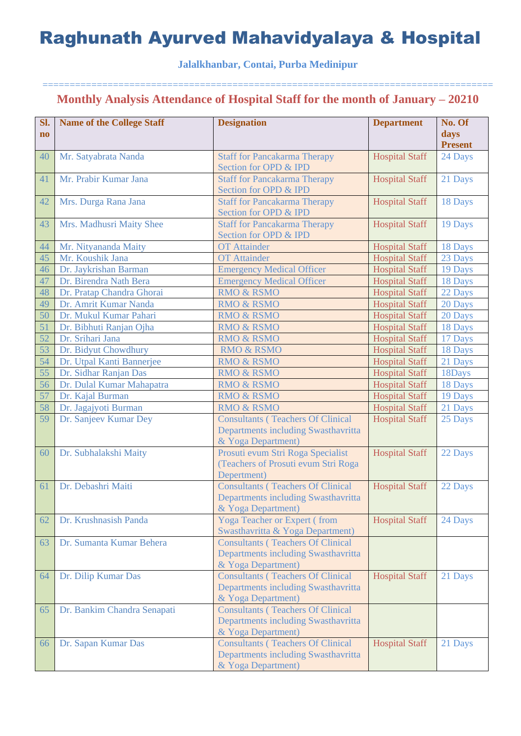### **Jalalkhanbar, Contai, Purba Medinipur**

| Sl.<br>$\mathbf{n}\mathbf{o}$ | <b>Name of the College Staff</b> | <b>Designation</b>                                           | <b>Department</b>     | No. Of<br>days |
|-------------------------------|----------------------------------|--------------------------------------------------------------|-----------------------|----------------|
|                               |                                  |                                                              |                       | <b>Present</b> |
| 40                            | Mr. Satyabrata Nanda             | <b>Staff for Pancakarma Therapy</b>                          | <b>Hospital Staff</b> | 24 Days        |
|                               |                                  | Section for OPD & IPD                                        |                       |                |
| 41                            | Mr. Prabir Kumar Jana            | <b>Staff for Pancakarma Therapy</b>                          | <b>Hospital Staff</b> | 21 Days        |
|                               |                                  | Section for OPD & IPD                                        |                       |                |
| 42                            | Mrs. Durga Rana Jana             | <b>Staff for Pancakarma Therapy</b><br>Section for OPD & IPD | <b>Hospital Staff</b> | 18 Days        |
| 43                            | Mrs. Madhusri Maity Shee         | <b>Staff for Pancakarma Therapy</b>                          | <b>Hospital Staff</b> | 19 Days        |
|                               |                                  | Section for OPD & IPD                                        |                       |                |
| 44                            | Mr. Nityananda Maity             | <b>OT</b> Attainder                                          | <b>Hospital Staff</b> | 18 Days        |
| 45                            | Mr. Koushik Jana                 | <b>OT</b> Attainder                                          | <b>Hospital Staff</b> | 23 Days        |
| 46                            | Dr. Jaykrishan Barman            | <b>Emergency Medical Officer</b>                             | <b>Hospital Staff</b> | 19 Days        |
| 47                            | Dr. Birendra Nath Bera           | <b>Emergency Medical Officer</b>                             | <b>Hospital Staff</b> | 18 Days        |
| 48                            | Dr. Pratap Chandra Ghorai        | <b>RMO &amp; RSMO</b>                                        | <b>Hospital Staff</b> | 22 Days        |
| 49                            | Dr. Amrit Kumar Nanda            | <b>RMO &amp; RSMO</b>                                        | <b>Hospital Staff</b> | 20 Days        |
| 50                            | Dr. Mukul Kumar Pahari           | <b>RMO &amp; RSMO</b>                                        | <b>Hospital Staff</b> | 20 Days        |
| 51                            | Dr. Bibhuti Ranjan Ojha          | <b>RMO &amp; RSMO</b>                                        | <b>Hospital Staff</b> | 18 Days        |
| 52                            | Dr. Srihari Jana                 | <b>RMO &amp; RSMO</b>                                        | <b>Hospital Staff</b> | 17 Days        |
| 53                            | Dr. Bidyut Chowdhury             | <b>RMO &amp; RSMO</b>                                        | <b>Hospital Staff</b> | 18 Days        |
| 54                            | Dr. Utpal Kanti Bannerjee        | <b>RMO &amp; RSMO</b>                                        | <b>Hospital Staff</b> | 21 Days        |
| 55                            | Dr. Sidhar Ranjan Das            | <b>RMO &amp; RSMO</b>                                        | <b>Hospital Staff</b> | 18Days         |
| 56                            | Dr. Dulal Kumar Mahapatra        | <b>RMO &amp; RSMO</b>                                        | <b>Hospital Staff</b> | 18 Days        |
| 57                            | Dr. Kajal Burman                 | <b>RMO &amp; RSMO</b>                                        | <b>Hospital Staff</b> | 19 Days        |
| 58                            | Dr. Jagajyoti Burman             | <b>RMO &amp; RSMO</b>                                        | <b>Hospital Staff</b> | 21 Days        |
| 59                            | Dr. Sanjeev Kumar Dey            | <b>Consultants (Teachers Of Clinical</b>                     | <b>Hospital Staff</b> | 25 Days        |
|                               |                                  | Departments including Swasthavritta                          |                       |                |
|                               |                                  | & Yoga Department)                                           |                       |                |
| 60                            | Dr. Subhalakshi Maity            | Prosuti evum Stri Roga Specialist                            | <b>Hospital Staff</b> | 22 Days        |
|                               |                                  | (Teachers of Prosuti evum Stri Roga                          |                       |                |
|                               |                                  | Depertment)                                                  |                       |                |
| 61                            | Dr. Debashri Maiti               | <b>Consultants (Teachers Of Clinical</b>                     | <b>Hospital Staff</b> | 22 Days        |
|                               |                                  | Departments including Swasthavritta                          |                       |                |
|                               |                                  | & Yoga Department)                                           |                       |                |
| 62                            | Dr. Krushnasish Panda            | <b>Yoga Teacher or Expert (from</b>                          | <b>Hospital Staff</b> | 24 Days        |
|                               |                                  | Swasthavritta & Yoga Department)                             |                       |                |
| 63                            | Dr. Sumanta Kumar Behera         | <b>Consultants (Teachers Of Clinical</b>                     |                       |                |
|                               |                                  | Departments including Swasthavritta                          |                       |                |
|                               |                                  | & Yoga Department)                                           |                       |                |
| 64                            | Dr. Dilip Kumar Das              | <b>Consultants (Teachers Of Clinical</b>                     | <b>Hospital Staff</b> | 21 Days        |
|                               |                                  | Departments including Swasthavritta                          |                       |                |
|                               |                                  | & Yoga Department)                                           |                       |                |
| 65                            | Dr. Bankim Chandra Senapati      | <b>Consultants (Teachers Of Clinical</b>                     |                       |                |
|                               |                                  | Departments including Swasthavritta                          |                       |                |
|                               |                                  | & Yoga Department)                                           |                       |                |
| 66                            | Dr. Sapan Kumar Das              | <b>Consultants (Teachers Of Clinical</b>                     | <b>Hospital Staff</b> | 21 Days        |
|                               |                                  | Departments including Swasthavritta                          |                       |                |
|                               |                                  | & Yoga Department)                                           |                       |                |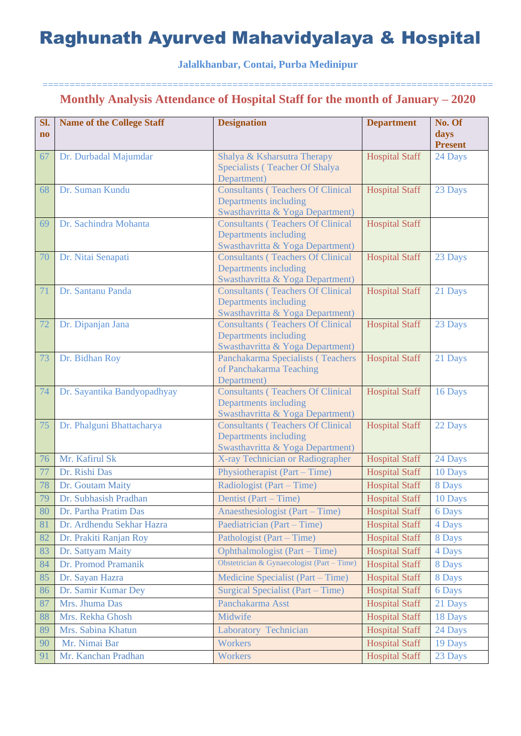**Jalalkhanbar, Contai, Purba Medinipur**

| SI.<br>$\mathbf{n}\mathbf{o}$ | <b>Name of the College Staff</b> | <b>Designation</b>                                                                                    | <b>Department</b>     | No. Of<br>days<br><b>Present</b> |
|-------------------------------|----------------------------------|-------------------------------------------------------------------------------------------------------|-----------------------|----------------------------------|
| 67                            | Dr. Durbadal Majumdar            | Shalya & Ksharsutra Therapy<br>Specialists (Teacher Of Shalya<br>Department)                          | <b>Hospital Staff</b> | 24 Days                          |
| 68                            | Dr. Suman Kundu                  | <b>Consultants (Teachers Of Clinical</b><br>Departments including<br>Swasthavritta & Yoga Department) | <b>Hospital Staff</b> | 23 Days                          |
| 69                            | Dr. Sachindra Mohanta            | <b>Consultants (Teachers Of Clinical</b><br>Departments including<br>Swasthavritta & Yoga Department) | <b>Hospital Staff</b> |                                  |
| 70                            | Dr. Nitai Senapati               | <b>Consultants (Teachers Of Clinical</b><br>Departments including<br>Swasthavritta & Yoga Department) | <b>Hospital Staff</b> | 23 Days                          |
| 71                            | Dr. Santanu Panda                | <b>Consultants (Teachers Of Clinical</b><br>Departments including<br>Swasthavritta & Yoga Department) | <b>Hospital Staff</b> | 21 Days                          |
| 72                            | Dr. Dipanjan Jana                | <b>Consultants (Teachers Of Clinical</b><br>Departments including<br>Swasthavritta & Yoga Department) | <b>Hospital Staff</b> | 23 Days                          |
| 73                            | Dr. Bidhan Roy                   | Panchakarma Specialists (Teachers<br>of Panchakarma Teaching<br>Department)                           | <b>Hospital Staff</b> | 21 Days                          |
| 74                            | Dr. Sayantika Bandyopadhyay      | <b>Consultants (Teachers Of Clinical</b><br>Departments including<br>Swasthavritta & Yoga Department) | <b>Hospital Staff</b> | 16 Days                          |
| 75                            | Dr. Phalguni Bhattacharya        | <b>Consultants (Teachers Of Clinical</b><br>Departments including<br>Swasthavritta & Yoga Department) | <b>Hospital Staff</b> | 22 Days                          |
| 76                            | Mr. Kafirul Sk                   | X-ray Technician or Radiographer                                                                      | <b>Hospital Staff</b> | 24 Days                          |
| 77                            | Dr. Rishi Das                    | Physiotherapist (Part – Time)                                                                         | <b>Hospital Staff</b> | 10 Days                          |
| 78                            | Dr. Goutam Maity                 | Radiologist (Part – Time)                                                                             | <b>Hospital Staff</b> | 8 Days                           |
| 79                            | Dr. Subhasish Pradhan            | Dentist (Part – Time)                                                                                 | <b>Hospital Staff</b> | 10 Days                          |
| 80                            | Dr. Partha Pratim Das            | Anaesthesiologist (Part – Time)                                                                       | <b>Hospital Staff</b> | 6 Days                           |
| 81                            | Dr. Ardhendu Sekhar Hazra        | Paediatrician (Part – Time)                                                                           | <b>Hospital Staff</b> | 4 Days                           |
| 82                            | Dr. Prakiti Ranjan Roy           | Pathologist (Part – Time)                                                                             | <b>Hospital Staff</b> | 8 Days                           |
| 83                            | Dr. Sattyam Maity                | Ophthalmologist (Part – Time)                                                                         | <b>Hospital Staff</b> | 4 Days                           |
| 84                            | Dr. Promod Pramanik              | Obstetrician & Gynaecologist (Part - Time)                                                            | <b>Hospital Staff</b> | 8 Days                           |
| 85                            | Dr. Sayan Hazra                  | Medicine Specialist (Part – Time)                                                                     | <b>Hospital Staff</b> | 8 Days                           |
| 86                            | Dr. Samir Kumar Dey              | Surgical Specialist (Part – Time)                                                                     | <b>Hospital Staff</b> | 6 Days                           |
| 87                            | Mrs. Jhuma Das                   | Panchakarma Asst                                                                                      | <b>Hospital Staff</b> | 21 Days                          |
| 88                            | Mrs. Rekha Ghosh                 | Midwife                                                                                               | <b>Hospital Staff</b> | 18 Days                          |
| 89                            | Mrs. Sabina Khatun               | Laboratory Technician                                                                                 | <b>Hospital Staff</b> | 24 Days                          |
| 90                            | Mr. Nimai Bar                    | Workers                                                                                               | <b>Hospital Staff</b> | 19 Days                          |
| 91                            | Mr. Kanchan Pradhan              | Workers                                                                                               | <b>Hospital Staff</b> | 23 Days                          |